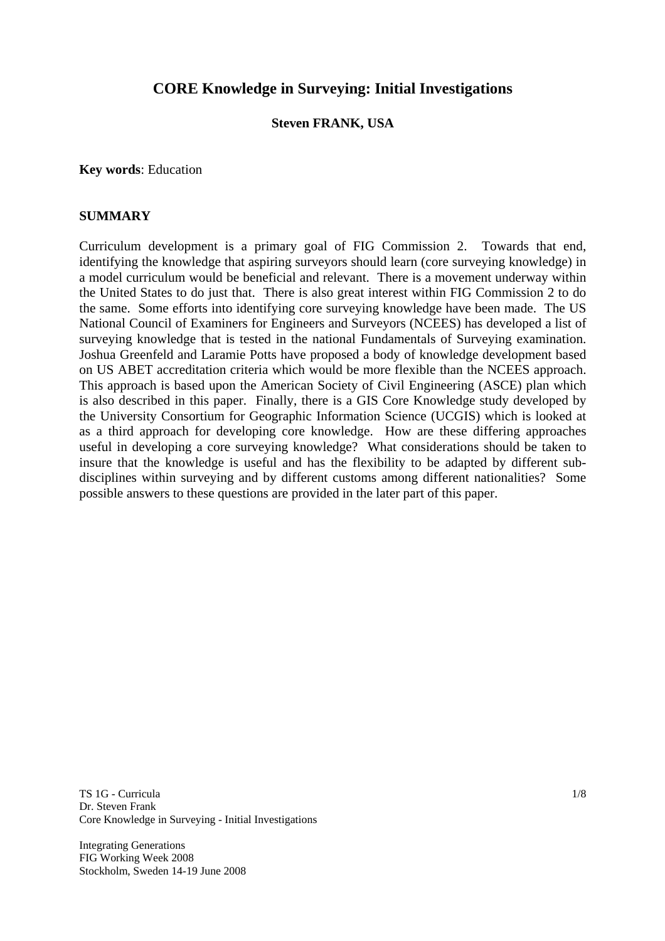# **CORE Knowledge in Surveying: Initial Investigations**

#### **Steven FRANK, USA**

**Key words**: Education

#### **SUMMARY**

Curriculum development is a primary goal of FIG Commission 2. Towards that end, identifying the knowledge that aspiring surveyors should learn (core surveying knowledge) in a model curriculum would be beneficial and relevant. There is a movement underway within the United States to do just that. There is also great interest within FIG Commission 2 to do the same. Some efforts into identifying core surveying knowledge have been made. The US National Council of Examiners for Engineers and Surveyors (NCEES) has developed a list of surveying knowledge that is tested in the national Fundamentals of Surveying examination. Joshua Greenfeld and Laramie Potts have proposed a body of knowledge development based on US ABET accreditation criteria which would be more flexible than the NCEES approach. This approach is based upon the American Society of Civil Engineering (ASCE) plan which is also described in this paper. Finally, there is a GIS Core Knowledge study developed by the University Consortium for Geographic Information Science (UCGIS) which is looked at as a third approach for developing core knowledge. How are these differing approaches useful in developing a core surveying knowledge? What considerations should be taken to insure that the knowledge is useful and has the flexibility to be adapted by different subdisciplines within surveying and by different customs among different nationalities? Some possible answers to these questions are provided in the later part of this paper.

TS 1G - Curricula Dr. Steven Frank Core Knowledge in Surveying - Initial Investigations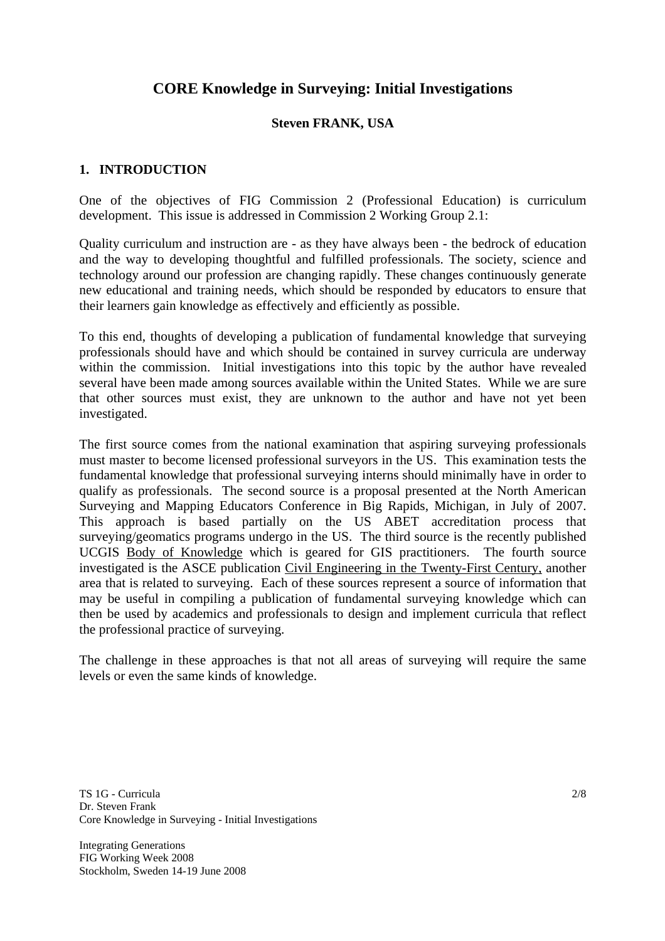# **CORE Knowledge in Surveying: Initial Investigations**

## **Steven FRANK, USA**

#### **1. INTRODUCTION**

One of the objectives of FIG Commission 2 (Professional Education) is curriculum development. This issue is addressed in Commission 2 Working Group 2.1:

Quality curriculum and instruction are - as they have always been - the bedrock of education and the way to developing thoughtful and fulfilled professionals. The society, science and technology around our profession are changing rapidly. These changes continuously generate new educational and training needs, which should be responded by educators to ensure that their learners gain knowledge as effectively and efficiently as possible.

To this end, thoughts of developing a publication of fundamental knowledge that surveying professionals should have and which should be contained in survey curricula are underway within the commission. Initial investigations into this topic by the author have revealed several have been made among sources available within the United States. While we are sure that other sources must exist, they are unknown to the author and have not yet been investigated.

The first source comes from the national examination that aspiring surveying professionals must master to become licensed professional surveyors in the US. This examination tests the fundamental knowledge that professional surveying interns should minimally have in order to qualify as professionals. The second source is a proposal presented at the North American Surveying and Mapping Educators Conference in Big Rapids, Michigan, in July of 2007. This approach is based partially on the US ABET accreditation process that surveying/geomatics programs undergo in the US. The third source is the recently published UCGIS Body of Knowledge which is geared for GIS practitioners. The fourth source investigated is the ASCE publication Civil Engineering in the Twenty-First Century, another area that is related to surveying. Each of these sources represent a source of information that may be useful in compiling a publication of fundamental surveying knowledge which can then be used by academics and professionals to design and implement curricula that reflect the professional practice of surveying.

The challenge in these approaches is that not all areas of surveying will require the same levels or even the same kinds of knowledge.

TS 1G - Curricula Dr. Steven Frank Core Knowledge in Surveying - Initial Investigations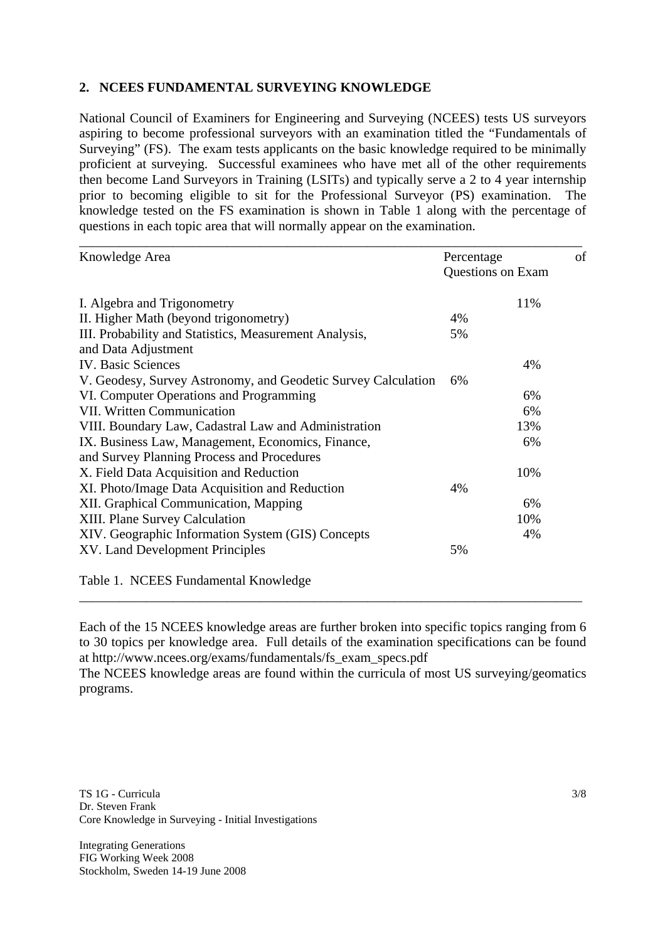## **2. NCEES FUNDAMENTAL SURVEYING KNOWLEDGE**

National Council of Examiners for Engineering and Surveying (NCEES) tests US surveyors aspiring to become professional surveyors with an examination titled the "Fundamentals of Surveying" (FS). The exam tests applicants on the basic knowledge required to be minimally proficient at surveying. Successful examinees who have met all of the other requirements then become Land Surveyors in Training (LSITs) and typically serve a 2 to 4 year internship prior to becoming eligible to sit for the Professional Surveyor (PS) examination. The knowledge tested on the FS examination is shown in Table 1 along with the percentage of questions in each topic area that will normally appear on the examination.

| Knowledge Area                                                | Percentage |                   | of |
|---------------------------------------------------------------|------------|-------------------|----|
|                                                               |            | Questions on Exam |    |
| I. Algebra and Trigonometry                                   |            | 11%               |    |
| II. Higher Math (beyond trigonometry)                         | 4%         |                   |    |
| III. Probability and Statistics, Measurement Analysis,        | 5%         |                   |    |
| and Data Adjustment                                           |            |                   |    |
| <b>IV.</b> Basic Sciences                                     |            | 4%                |    |
| V. Geodesy, Survey Astronomy, and Geodetic Survey Calculation | 6%         |                   |    |
| VI. Computer Operations and Programming                       |            | 6%                |    |
| VII. Written Communication                                    |            | 6%                |    |
| VIII. Boundary Law, Cadastral Law and Administration          |            | 13%               |    |
| IX. Business Law, Management, Economics, Finance,             |            | 6%                |    |
| and Survey Planning Process and Procedures                    |            |                   |    |
| X. Field Data Acquisition and Reduction                       |            | 10%               |    |
| XI. Photo/Image Data Acquisition and Reduction                | 4%         |                   |    |
| XII. Graphical Communication, Mapping                         |            | 6%                |    |
| XIII. Plane Survey Calculation                                |            | 10%               |    |
| XIV. Geographic Information System (GIS) Concepts             |            | 4%                |    |
| XV. Land Development Principles                               | 5%         |                   |    |
| Table 1. NCEES Fundamental Knowledge                          |            |                   |    |

Each of the 15 NCEES knowledge areas are further broken into specific topics ranging from 6 to 30 topics per knowledge area. Full details of the examination specifications can be found at http://www.ncees.org/exams/fundamentals/fs\_exam\_specs.pdf

\_\_\_\_\_\_\_\_\_\_\_\_\_\_\_\_\_\_\_\_\_\_\_\_\_\_\_\_\_\_\_\_\_\_\_\_\_\_\_\_\_\_\_\_\_\_\_\_\_\_\_\_\_\_\_\_\_\_\_\_\_\_\_\_\_\_\_\_\_\_\_\_\_\_\_

The NCEES knowledge areas are found within the curricula of most US surveying/geomatics programs.

TS 1G - Curricula Dr. Steven Frank Core Knowledge in Surveying - Initial Investigations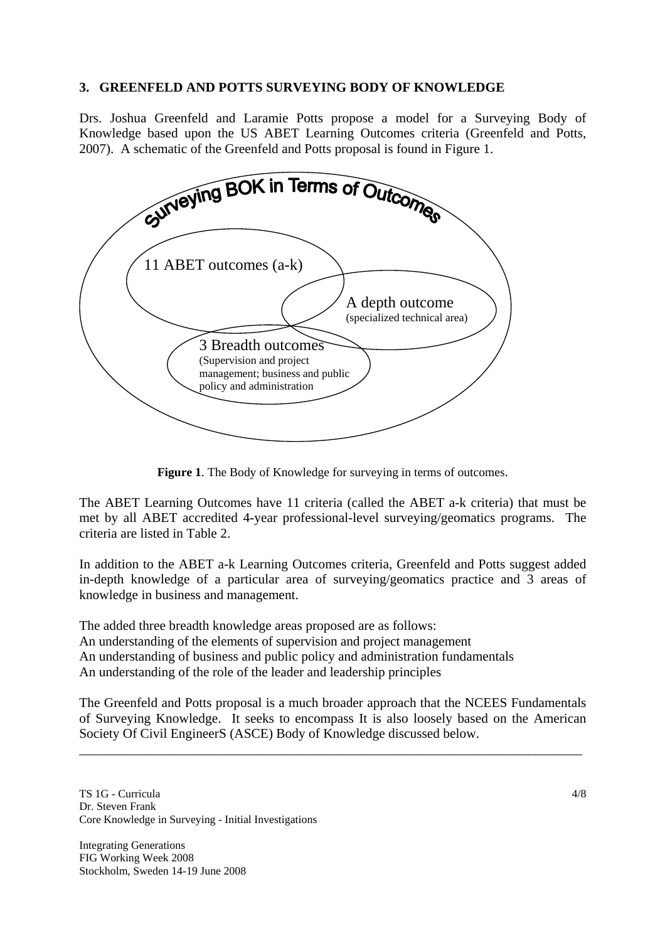#### **3. GREENFELD AND POTTS SURVEYING BODY OF KNOWLEDGE**

Drs. Joshua Greenfeld and Laramie Potts propose a model for a Surveying Body of Knowledge based upon the US ABET Learning Outcomes criteria (Greenfeld and Potts, 2007). A schematic of the Greenfeld and Potts proposal is found in Figure 1.



**Figure 1**. The Body of Knowledge for surveying in terms of outcomes.

The ABET Learning Outcomes have 11 criteria (called the ABET a-k criteria) that must be met by all ABET accredited 4-year professional-level surveying/geomatics programs. The criteria are listed in Table 2.

In addition to the ABET a-k Learning Outcomes criteria, Greenfeld and Potts suggest added in-depth knowledge of a particular area of surveying/geomatics practice and 3 areas of knowledge in business and management.

The added three breadth knowledge areas proposed are as follows: An understanding of the elements of supervision and project management An understanding of business and public policy and administration fundamentals An understanding of the role of the leader and leadership principles

The Greenfeld and Potts proposal is a much broader approach that the NCEES Fundamentals of Surveying Knowledge. It seeks to encompass It is also loosely based on the American Society Of Civil EngineerS (ASCE) Body of Knowledge discussed below.

\_\_\_\_\_\_\_\_\_\_\_\_\_\_\_\_\_\_\_\_\_\_\_\_\_\_\_\_\_\_\_\_\_\_\_\_\_\_\_\_\_\_\_\_\_\_\_\_\_\_\_\_\_\_\_\_\_\_\_\_\_\_\_\_\_\_\_\_\_\_\_\_\_\_\_

TS 1G - Curricula Dr. Steven Frank Core Knowledge in Surveying - Initial Investigations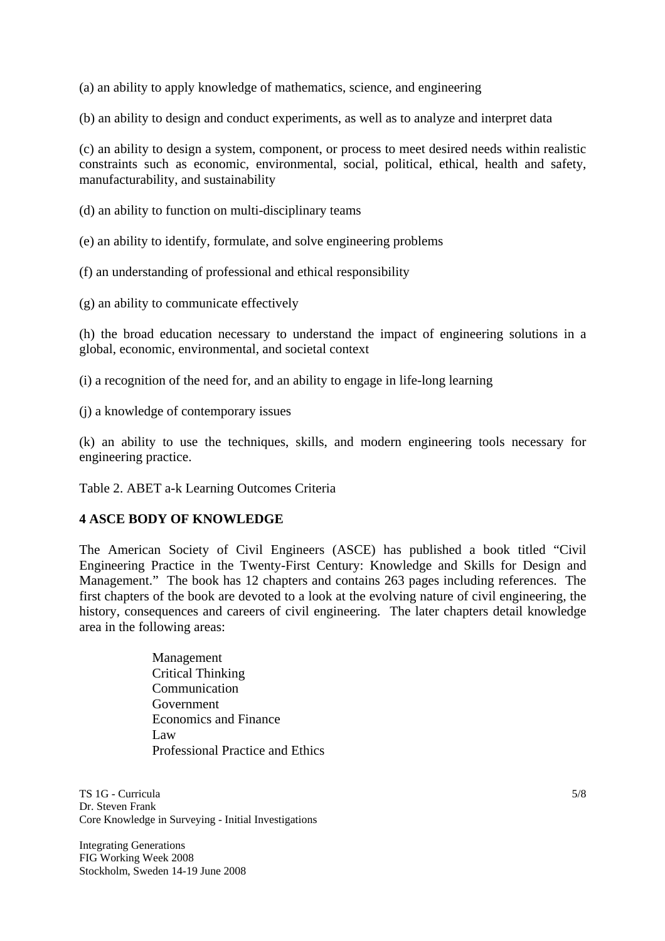(a) an ability to apply knowledge of mathematics, science, and engineering

(b) an ability to design and conduct experiments, as well as to analyze and interpret data

(c) an ability to design a system, component, or process to meet desired needs within realistic constraints such as economic, environmental, social, political, ethical, health and safety, manufacturability, and sustainability

- (d) an ability to function on multi-disciplinary teams
- (e) an ability to identify, formulate, and solve engineering problems
- (f) an understanding of professional and ethical responsibility
- (g) an ability to communicate effectively

(h) the broad education necessary to understand the impact of engineering solutions in a global, economic, environmental, and societal context

- (i) a recognition of the need for, and an ability to engage in life-long learning
- (j) a knowledge of contemporary issues

(k) an ability to use the techniques, skills, and modern engineering tools necessary for engineering practice.

Table 2. ABET a-k Learning Outcomes Criteria

#### **4 ASCE BODY OF KNOWLEDGE**

The American Society of Civil Engineers (ASCE) has published a book titled "Civil Engineering Practice in the Twenty-First Century: Knowledge and Skills for Design and Management." The book has 12 chapters and contains 263 pages including references. The first chapters of the book are devoted to a look at the evolving nature of civil engineering, the history, consequences and careers of civil engineering. The later chapters detail knowledge area in the following areas:

> Management Critical Thinking **Communication**  Government Economics and Finance Law Professional Practice and Ethics

TS 1G - Curricula Dr. Steven Frank Core Knowledge in Surveying - Initial Investigations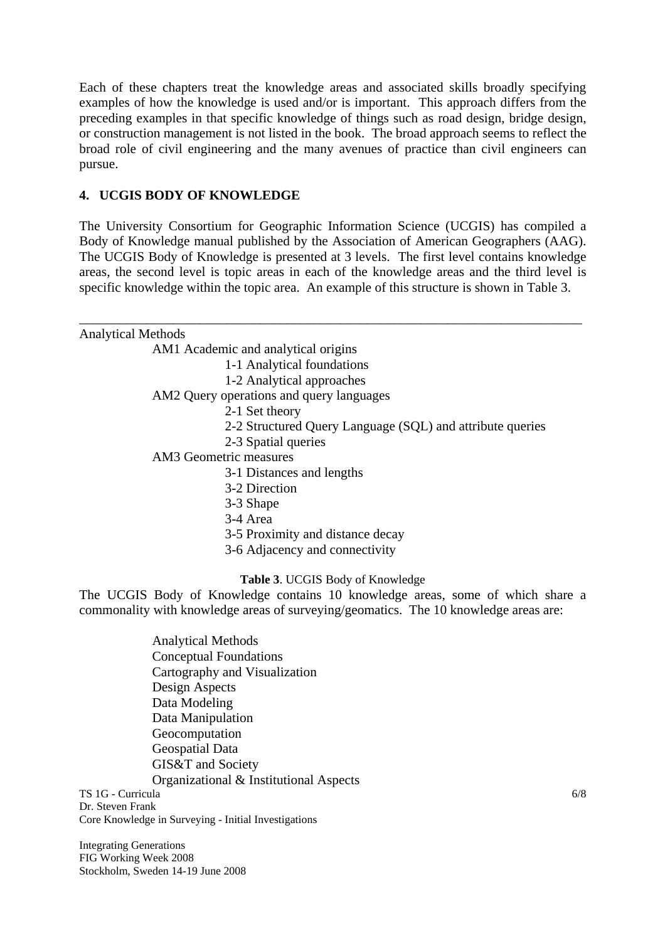Each of these chapters treat the knowledge areas and associated skills broadly specifying examples of how the knowledge is used and/or is important. This approach differs from the preceding examples in that specific knowledge of things such as road design, bridge design, or construction management is not listed in the book. The broad approach seems to reflect the broad role of civil engineering and the many avenues of practice than civil engineers can pursue.

# **4. UCGIS BODY OF KNOWLEDGE**

The University Consortium for Geographic Information Science (UCGIS) has compiled a Body of Knowledge manual published by the Association of American Geographers (AAG). The UCGIS Body of Knowledge is presented at 3 levels. The first level contains knowledge areas, the second level is topic areas in each of the knowledge areas and the third level is specific knowledge within the topic area. An example of this structure is shown in Table 3.

| <b>Analytical Methods</b> |                                                                                      |
|---------------------------|--------------------------------------------------------------------------------------|
|                           | AM1 Academic and analytical origins                                                  |
|                           | 1-1 Analytical foundations                                                           |
|                           | 1-2 Analytical approaches                                                            |
|                           | AM2 Query operations and query languages                                             |
|                           | 2-1 Set theory                                                                       |
|                           | 2-2 Structured Query Language (SQL) and attribute queries                            |
|                           | 2-3 Spatial queries                                                                  |
|                           | AM3 Geometric measures                                                               |
|                           | 3-1 Distances and lengths                                                            |
|                           | 3-2 Direction                                                                        |
|                           | 3-3 Shape                                                                            |
|                           | 3-4 Area                                                                             |
|                           | 3-5 Proximity and distance decay                                                     |
|                           | 3-6 Adjacency and connectivity                                                       |
|                           | Table 3. UCGIS Body of Knowledge                                                     |
|                           | The UCGIS Body of Knowledge contains 10 knowledge areas, some of which share a       |
|                           | commonality with knowledge areas of surveying/geomatics. The 10 knowledge areas are: |
|                           | <b>Analytical Methods</b>                                                            |
|                           | <b>Conceptual Foundations</b>                                                        |
|                           | Cartography and Visualization                                                        |
|                           | Design Aspects                                                                       |
|                           | Data Modeling                                                                        |
|                           | Data Manipulation                                                                    |
|                           | Geocomputation                                                                       |

TS 1G - Curricula GIS&T and Society Organizational & Institutional Aspects

Dr. Steven Frank Core Knowledge in Surveying - Initial Investigations

Geospatial Data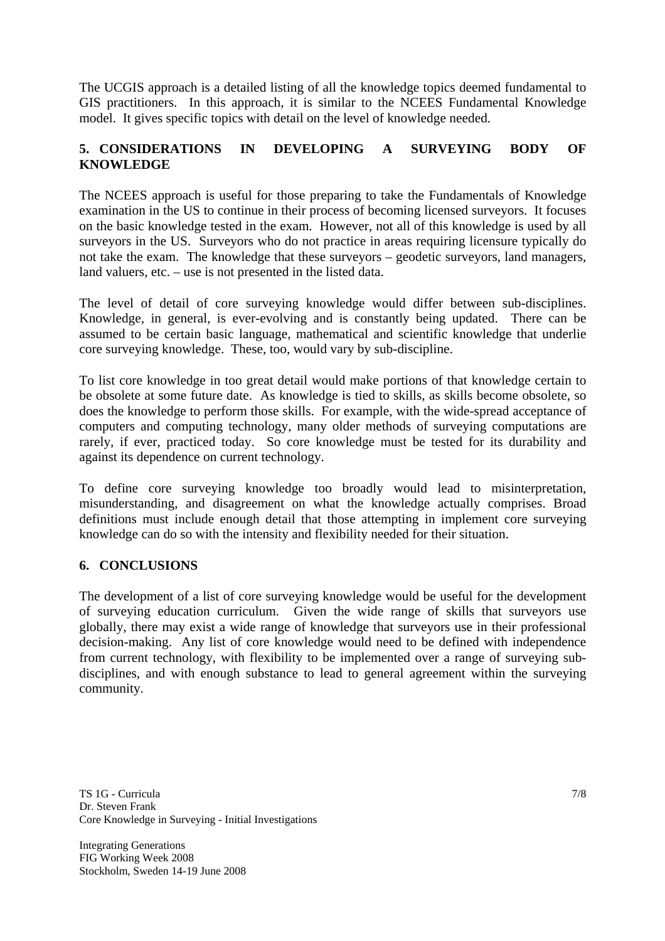The UCGIS approach is a detailed listing of all the knowledge topics deemed fundamental to GIS practitioners. In this approach, it is similar to the NCEES Fundamental Knowledge model. It gives specific topics with detail on the level of knowledge needed.

## **5. CONSIDERATIONS IN DEVELOPING A SURVEYING BODY OF KNOWLEDGE**

The NCEES approach is useful for those preparing to take the Fundamentals of Knowledge examination in the US to continue in their process of becoming licensed surveyors. It focuses on the basic knowledge tested in the exam. However, not all of this knowledge is used by all surveyors in the US. Surveyors who do not practice in areas requiring licensure typically do not take the exam. The knowledge that these surveyors – geodetic surveyors, land managers, land valuers, etc. – use is not presented in the listed data.

The level of detail of core surveying knowledge would differ between sub-disciplines. Knowledge, in general, is ever-evolving and is constantly being updated. There can be assumed to be certain basic language, mathematical and scientific knowledge that underlie core surveying knowledge. These, too, would vary by sub-discipline.

To list core knowledge in too great detail would make portions of that knowledge certain to be obsolete at some future date. As knowledge is tied to skills, as skills become obsolete, so does the knowledge to perform those skills. For example, with the wide-spread acceptance of computers and computing technology, many older methods of surveying computations are rarely, if ever, practiced today. So core knowledge must be tested for its durability and against its dependence on current technology.

To define core surveying knowledge too broadly would lead to misinterpretation, misunderstanding, and disagreement on what the knowledge actually comprises. Broad definitions must include enough detail that those attempting in implement core surveying knowledge can do so with the intensity and flexibility needed for their situation.

## **6. CONCLUSIONS**

The development of a list of core surveying knowledge would be useful for the development of surveying education curriculum. Given the wide range of skills that surveyors use globally, there may exist a wide range of knowledge that surveyors use in their professional decision-making. Any list of core knowledge would need to be defined with independence from current technology, with flexibility to be implemented over a range of surveying subdisciplines, and with enough substance to lead to general agreement within the surveying community.

TS 1G - Curricula Dr. Steven Frank Core Knowledge in Surveying - Initial Investigations